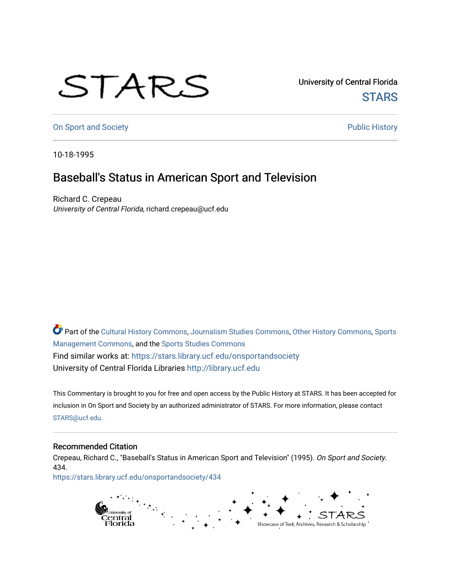## STARS

University of Central Florida **STARS** 

[On Sport and Society](https://stars.library.ucf.edu/onsportandsociety) **Public History** Public History

10-18-1995

## Baseball's Status in American Sport and Television

Richard C. Crepeau University of Central Florida, richard.crepeau@ucf.edu

Part of the [Cultural History Commons](http://network.bepress.com/hgg/discipline/496?utm_source=stars.library.ucf.edu%2Fonsportandsociety%2F434&utm_medium=PDF&utm_campaign=PDFCoverPages), [Journalism Studies Commons,](http://network.bepress.com/hgg/discipline/333?utm_source=stars.library.ucf.edu%2Fonsportandsociety%2F434&utm_medium=PDF&utm_campaign=PDFCoverPages) [Other History Commons,](http://network.bepress.com/hgg/discipline/508?utm_source=stars.library.ucf.edu%2Fonsportandsociety%2F434&utm_medium=PDF&utm_campaign=PDFCoverPages) [Sports](http://network.bepress.com/hgg/discipline/1193?utm_source=stars.library.ucf.edu%2Fonsportandsociety%2F434&utm_medium=PDF&utm_campaign=PDFCoverPages) [Management Commons](http://network.bepress.com/hgg/discipline/1193?utm_source=stars.library.ucf.edu%2Fonsportandsociety%2F434&utm_medium=PDF&utm_campaign=PDFCoverPages), and the [Sports Studies Commons](http://network.bepress.com/hgg/discipline/1198?utm_source=stars.library.ucf.edu%2Fonsportandsociety%2F434&utm_medium=PDF&utm_campaign=PDFCoverPages) Find similar works at: <https://stars.library.ucf.edu/onsportandsociety> University of Central Florida Libraries [http://library.ucf.edu](http://library.ucf.edu/) 

This Commentary is brought to you for free and open access by the Public History at STARS. It has been accepted for inclusion in On Sport and Society by an authorized administrator of STARS. For more information, please contact [STARS@ucf.edu](mailto:STARS@ucf.edu).

## Recommended Citation

Crepeau, Richard C., "Baseball's Status in American Sport and Television" (1995). On Sport and Society. 434.

[https://stars.library.ucf.edu/onsportandsociety/434](https://stars.library.ucf.edu/onsportandsociety/434?utm_source=stars.library.ucf.edu%2Fonsportandsociety%2F434&utm_medium=PDF&utm_campaign=PDFCoverPages)

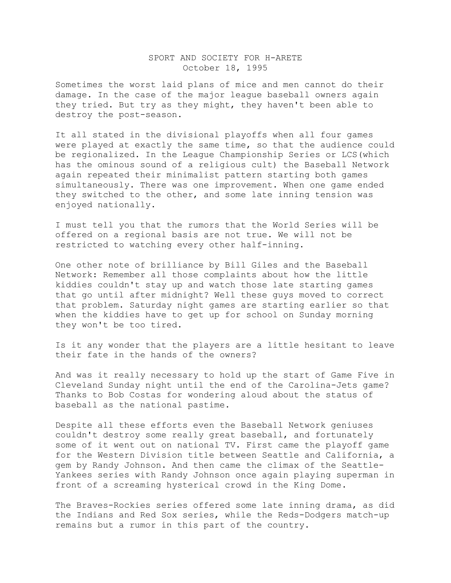## SPORT AND SOCIETY FOR H-ARETE October 18, 1995

Sometimes the worst laid plans of mice and men cannot do their damage. In the case of the major league baseball owners again they tried. But try as they might, they haven't been able to destroy the post-season.

It all stated in the divisional playoffs when all four games were played at exactly the same time, so that the audience could be regionalized. In the League Championship Series or LCS(which has the ominous sound of a religious cult) the Baseball Network again repeated their minimalist pattern starting both games simultaneously. There was one improvement. When one game ended they switched to the other, and some late inning tension was enjoyed nationally.

I must tell you that the rumors that the World Series will be offered on a regional basis are not true. We will not be restricted to watching every other half-inning.

One other note of brilliance by Bill Giles and the Baseball Network: Remember all those complaints about how the little kiddies couldn't stay up and watch those late starting games that go until after midnight? Well these guys moved to correct that problem. Saturday night games are starting earlier so that when the kiddies have to get up for school on Sunday morning they won't be too tired.

Is it any wonder that the players are a little hesitant to leave their fate in the hands of the owners?

And was it really necessary to hold up the start of Game Five in Cleveland Sunday night until the end of the Carolina-Jets game? Thanks to Bob Costas for wondering aloud about the status of baseball as the national pastime.

Despite all these efforts even the Baseball Network geniuses couldn't destroy some really great baseball, and fortunately some of it went out on national TV. First came the playoff game for the Western Division title between Seattle and California, a gem by Randy Johnson. And then came the climax of the Seattle-Yankees series with Randy Johnson once again playing superman in front of a screaming hysterical crowd in the King Dome.

The Braves-Rockies series offered some late inning drama, as did the Indians and Red Sox series, while the Reds-Dodgers match-up remains but a rumor in this part of the country.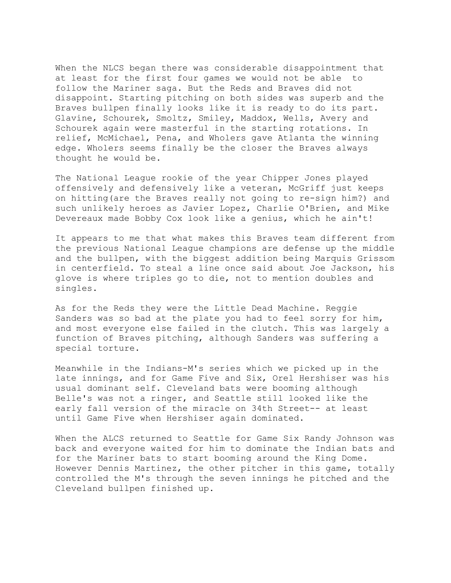When the NLCS began there was considerable disappointment that at least for the first four games we would not be able to follow the Mariner saga. But the Reds and Braves did not disappoint. Starting pitching on both sides was superb and the Braves bullpen finally looks like it is ready to do its part. Glavine, Schourek, Smoltz, Smiley, Maddox, Wells, Avery and Schourek again were masterful in the starting rotations. In relief, McMichael, Pena, and Wholers gave Atlanta the winning edge. Wholers seems finally be the closer the Braves always thought he would be.

The National League rookie of the year Chipper Jones played offensively and defensively like a veteran, McGriff just keeps on hitting(are the Braves really not going to re-sign him?) and such unlikely heroes as Javier Lopez, Charlie O'Brien, and Mike Devereaux made Bobby Cox look like a genius, which he ain't!

It appears to me that what makes this Braves team different from the previous National League champions are defense up the middle and the bullpen, with the biggest addition being Marquis Grissom in centerfield. To steal a line once said about Joe Jackson, his glove is where triples go to die, not to mention doubles and singles.

As for the Reds they were the Little Dead Machine. Reggie Sanders was so bad at the plate you had to feel sorry for him, and most everyone else failed in the clutch. This was largely a function of Braves pitching, although Sanders was suffering a special torture.

Meanwhile in the Indians-M's series which we picked up in the late innings, and for Game Five and Six, Orel Hershiser was his usual dominant self. Cleveland bats were booming although Belle's was not a ringer, and Seattle still looked like the early fall version of the miracle on 34th Street-- at least until Game Five when Hershiser again dominated.

When the ALCS returned to Seattle for Game Six Randy Johnson was back and everyone waited for him to dominate the Indian bats and for the Mariner bats to start booming around the King Dome. However Dennis Martinez, the other pitcher in this game, totally controlled the M's through the seven innings he pitched and the Cleveland bullpen finished up.